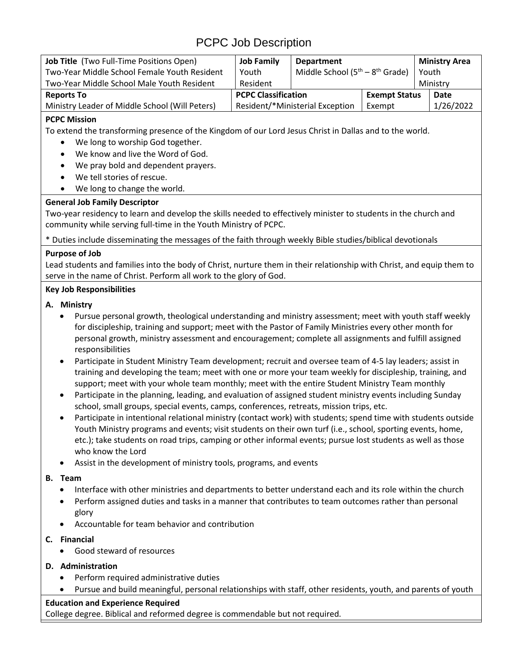# PCPC Job Description

| <b>Job Title</b> (Two Full-Time Positions Open) | <b>Job Family</b>               | <b>Department</b>                 |                      |          | <b>Ministry Area</b> |
|-------------------------------------------------|---------------------------------|-----------------------------------|----------------------|----------|----------------------|
| Two-Year Middle School Female Youth Resident    | Youth                           | Middle School $(5th - 8th$ Grade) |                      | Youth    |                      |
| Two-Year Middle School Male Youth Resident      | Resident                        |                                   |                      | Ministry |                      |
| <b>Reports To</b>                               | <b>PCPC Classification</b>      |                                   | <b>Exempt Status</b> |          | Date                 |
| Ministry Leader of Middle School (Will Peters)  | Resident/*Ministerial Exception |                                   | Exempt               |          | 1/26/2022            |

# **PCPC Mission**

To extend the transforming presence of the Kingdom of our Lord Jesus Christ in Dallas and to the world.

- We long to worship God together.
- We know and live the Word of God.
- We pray bold and dependent prayers.
- We tell stories of rescue.
- We long to change the world.

#### **General Job Family Descriptor**

Two-year residency to learn and develop the skills needed to effectively minister to students in the church and community while serving full-time in the Youth Ministry of PCPC.

\* Duties include disseminating the messages of the faith through weekly Bible studies/biblical devotionals

# **Purpose of Job**

Lead students and families into the body of Christ, nurture them in their relationship with Christ, and equip them to serve in the name of Christ. Perform all work to the glory of God.

# **Key Job Responsibilities**

# **A. Ministry**

- Pursue personal growth, theological understanding and ministry assessment; meet with youth staff weekly for discipleship, training and support; meet with the Pastor of Family Ministries every other month for personal growth, ministry assessment and encouragement; complete all assignments and fulfill assigned responsibilities
- Participate in Student Ministry Team development; recruit and oversee team of 4-5 lay leaders; assist in training and developing the team; meet with one or more your team weekly for discipleship, training, and support; meet with your whole team monthly; meet with the entire Student Ministry Team monthly
- Participate in the planning, leading, and evaluation of assigned student ministry events including Sunday school, small groups, special events, camps, conferences, retreats, mission trips, etc.
- Participate in intentional relational ministry (contact work) with students; spend time with students outside Youth Ministry programs and events; visit students on their own turf (i.e., school, sporting events, home, etc.); take students on road trips, camping or other informal events; pursue lost students as well as those who know the Lord
- Assist in the development of ministry tools, programs, and events

#### **B. Team**

- Interface with other ministries and departments to better understand each and its role within the church
- Perform assigned duties and tasks in a manner that contributes to team outcomes rather than personal glory
- Accountable for team behavior and contribution

# **C. Financial**

- Good steward of resources
- **D. Administration** 
	- Perform required administrative duties
	- Pursue and build meaningful, personal relationships with staff, other residents, youth, and parents of youth

#### **Education and Experience Required**

College degree. Biblical and reformed degree is commendable but not required.